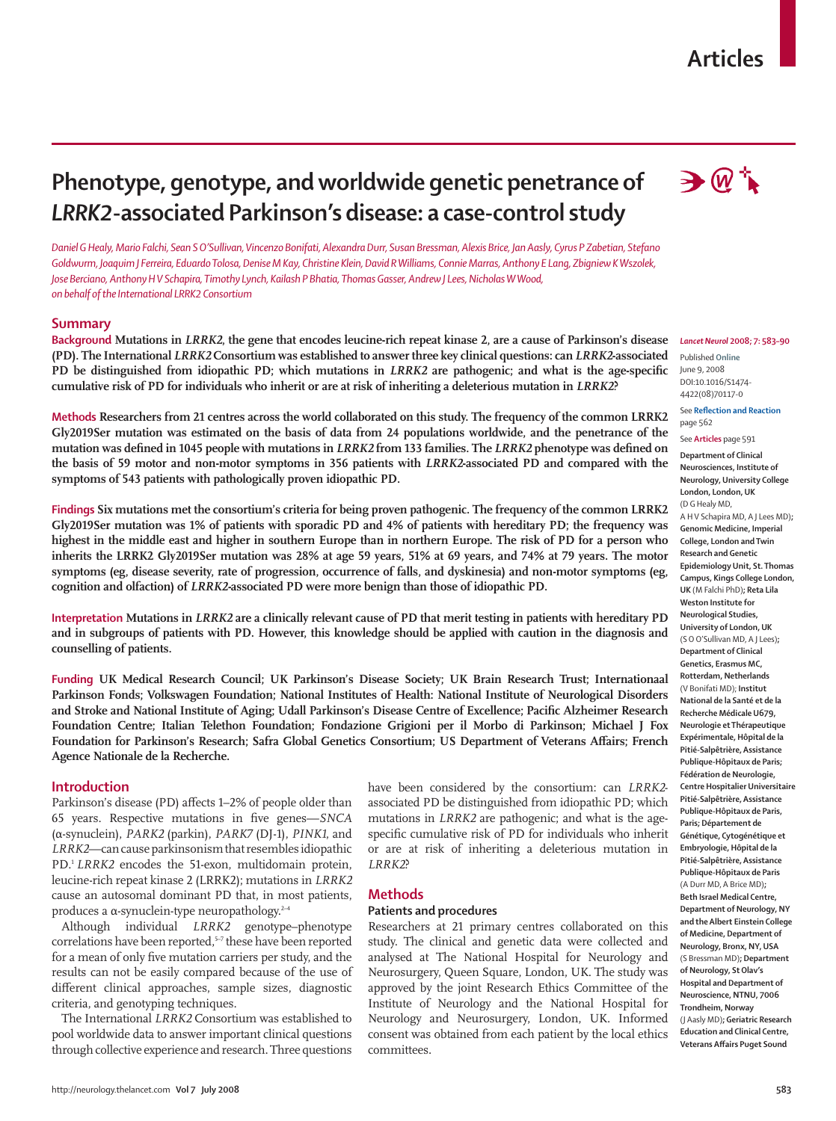# **Articles**

# **Phenotype, genotype, and worldwide genetic penetrance of**  *LRRK2***-associated Parkinson's disease: a case-control study**

*Daniel G Healy, Mario Falchi, Sean S O'Sullivan, Vincenzo Bonifati, Alexandra Durr, Susan Bressman, Alexis Brice, Jan Aasly, Cyrus P Zabetian, Stefano Goldwurm, Joaquim J Ferreira, Eduardo Tolosa, Denise M Kay, Christine Klein, David R Williams, Connie Marras, Anthony E Lang, Zbigniew K Wszolek, Jose Berciano, Anthony H V Schapira, Timothy Lynch, Kailash P Bhatia, Thomas Gasser, Andrew J Lees, Nicholas W Wood, on behalf of the International LRRK2 Consortium*

#### **Summary**

**Background Mutations in** *LRRK2***, the gene that encodes leucine-rich repeat kinase 2, are a cause of Parkinson's disease (PD). The International** *LRRK2* **Consortium was established to answer three key clinical questions: can** *LRRK2***-associated PD** be distinguished from idiopathic PD; which mutations in *LRRK2* are pathogenic; and what is the age-specific **cumulative risk of PD for individuals who inherit or are at risk of inheriting a deleterious mutation in** *LRRK2***?**

**Methods Researchers from 21 centres across the world collaborated on this study. The frequency of the common LRRK2 Gly2019Ser mutation was estimated on the basis of data from 24 populations worldwide, and the penetrance of the**  mutation was defined in 1045 people with mutations in *LRRK2* from 133 families. The *LRRK2* phenotype was defined on **the basis of 59 motor and non-motor symptoms in 356 patients with** *LRRK2***-associated PD and compared with the symptoms of 543 patients with pathologically proven idiopathic PD.** 



#### *Lancet Neurol* **2008; 7: 583–90**

Published **Online** June 9, 2008 DOI:10.1016/S1474- 4422(08)70117-0

**See Reflection and Reaction** page 562

See **Articles** page 591

**Department of Clinical Neurosciences, Institute of Neurology, University College London, London, UK**  (D G Healy MD,

A H V Schapira MD, A J Lees MD)**; Genomic Medicine, Imperial College, London and Twin Research and Genetic Epidemiology Unit, St. Thomas Campus, Kings College London, UK** (M Falchi PhD)**; Reta Lila Weston Institute for Neurological Studies, University of London, UK** (S O O'Sullivan MD, A J Lees)**; Department of Clinical Genetics, Erasmus MC, Rotterdam, Netherlands** (V Bonifati MD); **Institut National de la Santé et de la Recherche Médicale U679, Neurologie et Thérapeutique Expérimentale, Hôpital de la Pitié-Salpêtrière, Assistance Publique-Hôpitaux de Paris; Fédération de Neurologie, Centre Hospitalier Universitaire Pitié-Salpêtrière, Assistance Publique-Hôpitaux de Paris, Paris; Département de Génétique, Cytogénétique et Embryologie, Hôpital de la Pitié-Salpêtrière, Assistance Publique-Hôpitaux de Paris**  (A Durr MD, A Brice MD)**; Beth Israel Medical Centre, Department of Neurology, NY and the Albert Einstein College of Medicine, Department of Neurology, Bronx, NY, USA**  (S Bressman MD)**; Department of Neurology, St Olav's Hospital and Department of Neuroscience, NTNU, 7006 Trondheim, Norway**  (J Aasly MD)**; Geriatric Research Education and Clinical Centre, Veterans Affairs Puget Sound** 

**Findings Six mutations met the consortium's criteria for being proven pathogenic. The frequency of the common LRRK2 Gly2019Ser mutation was 1% of patients with sporadic PD and 4% of patients with hereditary PD; the frequency was highest in the middle east and higher in southern Europe than in northern Europe. The risk of PD for a person who inherits the LRRK2 Gly2019Ser mutation was 28% at age 59 years, 51% at 69 years, and 74% at 79 years. The motor symptoms (eg, disease severity, rate of progression, occurrence of falls, and dyskinesia) and non-motor symptoms (eg, cognition and olfaction) of** *LRRK2-***associated PD were more benign than those of idiopathic PD.** 

**Interpretation Mutations in** *LRRK2* **are a clinically relevant cause of PD that merit testing in patients with hereditary PD and in subgroups of patients with PD. However, this knowledge should be applied with caution in the diagnosis and counselling of patients.**

**Funding UK Medical Research Council; UK Parkinson's Disease Society; UK Brain Research Trust; Internationaal Parkinson Fonds; Volkswagen Foundation; National Institutes of Health: National Institute of Neurological Disorders**  and Stroke and National Institute of Aging; Udall Parkinson's Disease Centre of Excellence; Pacific Alzheimer Research **Foundation Centre; Italian Telethon Foundation; Fondazione Grigioni per il Morbo di Parkinson; Michael J Fox**  Foundation for Parkinson's Research; Safra Global Genetics Consortium; US Department of Veterans Affairs; French **Agence Nationale de la Recherche.** 

## **Introduction**

Parkinson's disease (PD) affects 1-2% of people older than 65 years. Respective mutations in five genes-SNCA (α-synuclein), *PARK2* (parkin), *PARK7* (DJ-1), *PINK1*, and *LRRK2*—can cause parkinsonism that resembles idiopathic PD.<sup>1</sup> *LRRK2* encodes the 51-exon, multidomain protein, leucine-rich repeat kinase 2 (LRRK2); mutations in *LRRK2* cause an autosomal dominant PD that, in most patients, produces a α-synuclein-type neuropathology.2–4

Although individual *LRRK2* genotype–phenotype correlations have been reported,<sup>5-7</sup> these have been reported for a mean of only five mutation carriers per study, and the results can not be easily compared because of the use of different clinical approaches, sample sizes, diagnostic criteria, and genotyping techniques.

The International *LRRK2* Consortium was established to pool worldwide data to answer important clinical questions through collective experience and research. Three questions have been considered by the consortium: can *LRRK2* associated PD be distinguished from idiopathic PD; which mutations in *LRRK2* are pathogenic; and what is the agespecific cumulative risk of PD for individuals who inherit or are at risk of inheriting a deleterious mutation in *LRRK2*?

# **Methods**

#### **Patients and procedures**

Researchers at 21 primary centres collaborated on this study. The clinical and genetic data were collected and analysed at The National Hospital for Neurology and Neurosurgery, Queen Square, London, UK. The study was approved by the joint Research Ethics Committee of the Institute of Neurology and the National Hospital for Neurology and Neurosurgery, London, UK. Informed consent was obtained from each patient by the local ethics committees.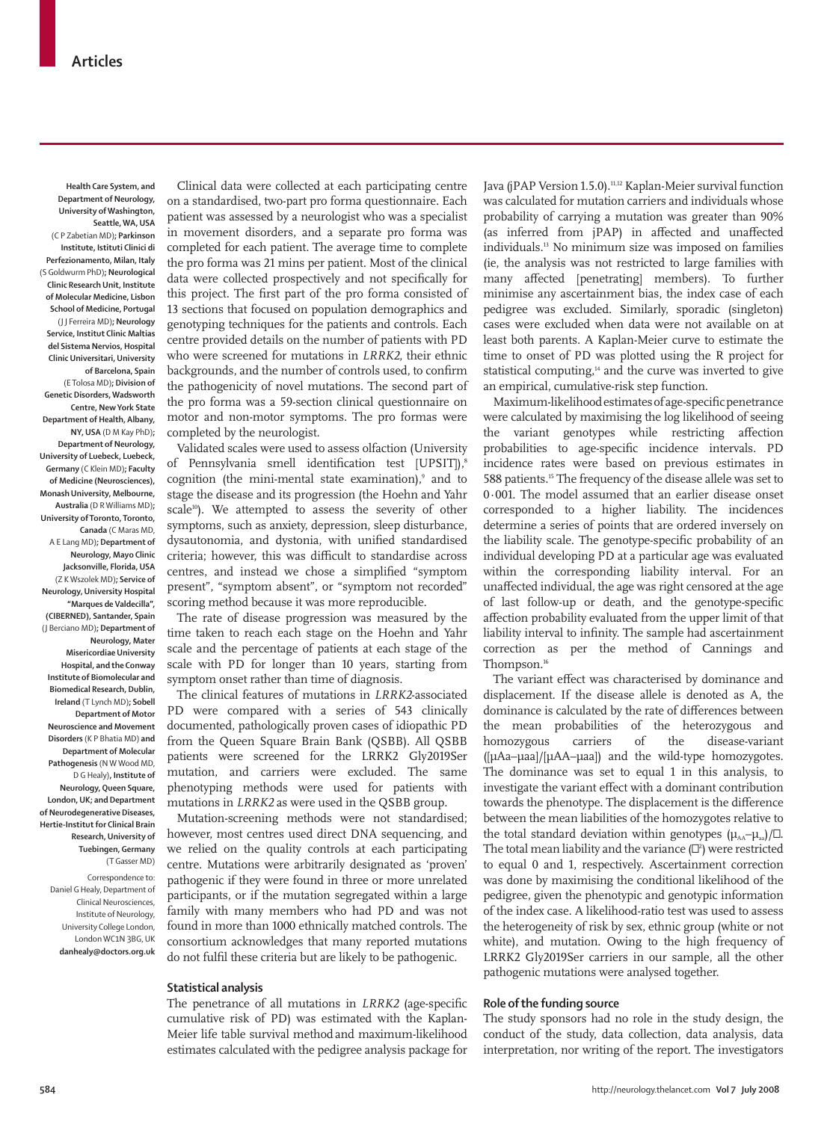**Health Care System, and Department of Neurology, University of Washington, Seattle, WA, USA** (C P Zabetian MD)**; Parkinson Institute, Istituti Clinici di Perfezionamento, Milan, Italy**  (S Goldwurm PhD)**; Neurological Clinic Research Unit, Institute of Molecular Medicine, Lisbon School of Medicine, Portugal** (J J Ferreira MD)**; Neurology Service, Institut Clinic Maltias del Sistema Nervios, Hospital Clinic Universitari, University of Barcelona, Spain** (E Tolosa MD)**; Division of Genetic Disorders, Wadsworth Centre, New York State Department of Health, Albany, NY, USA** (D M Kay PhD)**; Department of Neurology, University of Luebeck, Luebeck, Germany** (C Klein MD)**; Faculty of Medicine (Neurosciences), Monash University, Melbourne, Australia** (D R Williams MD)**; University of Toronto, Toronto, Canada** (C Maras MD, A E Lang MD)**; Department of Neurology, Mayo Clinic Jacksonville, Florida, USA**  (Z K Wszolek MD)**; Service of Neurology, University Hospital "Marques de Valdecilla", (CIBERNED), Santander, Spain**  (J Berciano MD)**; Department of Neurology, Mater Misericordiae University Hospital, and the Conway Institute of Biomolecular and Biomedical Research, Dublin, Ireland** (T Lynch MD)**; Sobell Department of Motor Neuroscience and Movement Disorders** (K P Bhatia MD) **and Department of Molecular Pathogenesis** (N W Wood MD, D G Healy)**, Institute of Neurology, Queen Square,** 

**London, UK; and Department of Neurodegenerative Diseases, Hertie-Institut for Clinical Brain Research, University of Tuebingen, Germany** (T Gasser MD)

Correspondence to: Daniel G Healy, Department of Clinical Neurosciences, Institute of Neurology, University College London, London WC1N 3BG, UK **danhealy@doctors.org.uk**

Clinical data were collected at each participating centre on a standardised, two-part pro forma questionnaire. Each patient was assessed by a neurologist who was a specialist in movement disorders, and a separate pro forma was completed for each patient. The average time to complete the pro forma was 21 mins per patient. Most of the clinical data were collected prospectively and not specifically for this project. The first part of the pro forma consisted of 13 sections that focused on population demographics and genotyping techniques for the patients and controls. Each centre provided details on the number of patients with PD who were screened for mutations in *LRRK2*, their ethnic backgrounds, and the number of controls used, to confirm the pathogenicity of novel mutations. The second part of the pro forma was a 59-section clinical questionnaire on motor and non-motor symptoms. The pro formas were completed by the neurologist.

Validated scales were used to assess olfaction (University of Pennsylvania smell identification test [UPSIT]),8 cognition (the mini-mental state examination),<sup>9</sup> and to stage the disease and its progression (the Hoehn and Yahr scale<sup>10</sup>). We attempted to assess the severity of other symptoms, such as anxiety, depression, sleep disturbance, dysautonomia, and dystonia, with unified standardised criteria; however, this was difficult to standardise across centres, and instead we chose a simplified "symptom present", "symptom absent", or "symptom not recorded" scoring method because it was more reproducible.

The rate of disease progression was measured by the time taken to reach each stage on the Hoehn and Yahr scale and the percentage of patients at each stage of the scale with PD for longer than 10 years, starting from symptom onset rather than time of diagnosis.

The clinical features of mutations in *LRRK2*-associated PD were compared with a series of 543 clinically documented, pathologically proven cases of idiopathic PD from the Queen Square Brain Bank (QSBB). All QSBB patients were screened for the LRRK2 Gly2019Ser mutation, and carriers were excluded. The same phenotyping methods were used for patients with mutations in *LRRK2* as were used in the QSBB group.

Mutation-screening methods were not standardised; however, most centres used direct DNA sequencing, and we relied on the quality controls at each participating centre. Mutations were arbitrarily designated as 'proven' pathogenic if they were found in three or more unrelated participants, or if the mutation segregated within a large family with many members who had PD and was not found in more than 1000 ethnically matched controls. The consortium acknowledges that many reported mutations do not fulfil these criteria but are likely to be pathogenic.

# **Statistical analysis**

The penetrance of all mutations in *LRRK2* (age-specific cumulative risk of PD) was estimated with the Kaplan-Meier life table survival method and maximum-likelihood estimates calculated with the pedigree analysis package for Java (jPAP Version 1.5.0).<sup>11,12</sup> Kaplan-Meier survival function was calculated for mutation carriers and individuals whose probability of carrying a mutation was greater than 90% (as inferred from jPAP) in affected and unaffected individuals.13 No minimum size was imposed on families (ie, the analysis was not restricted to large families with many affected [penetrating] members). To further minimise any ascertainment bias, the index case of each pedigree was excluded. Similarly, sporadic (singleton) cases were excluded when data were not available on at least both parents. A Kaplan-Meier curve to estimate the time to onset of PD was plotted using the R project for statistical computing,<sup>14</sup> and the curve was inverted to give an empirical, cumulative-risk step function.

Maximum-likelihood estimates of age-specific penetrance were calculated by maximising the log likelihood of seeing the variant genotypes while restricting affection probabilities to age-specific incidence intervals. PD incidence rates were based on previous estimates in 588 patients.<sup>15</sup> The frequency of the disease allele was set to 0·001. The model assumed that an earlier disease onset corresponded to a higher liability. The incidences determine a series of points that are ordered inversely on the liability scale. The genotype-specific probability of an individual developing PD at a particular age was evaluated within the corresponding liability interval. For an unaffected individual, the age was right censored at the age of last follow-up or death, and the genotype-specific affection probability evaluated from the upper limit of that liability interval to infinity. The sample had ascertainment correction as per the method of Cannings and Thompson.16

The variant effect was characterised by dominance and displacement. If the disease allele is denoted as A, the dominance is calculated by the rate of differences between the mean probabilities of the heterozygous and homozygous carriers of the disease-variant ([μAa–μaa]/[μAA–μaa]) and the wild-type homozygotes. The dominance was set to equal 1 in this analysis, to investigate the variant effect with a dominant contribution towards the phenotype. The displacement is the difference between the mean liabilities of the homozygotes relative to the total standard deviation within genotypes  $(\mu_{AA}-\mu_{aa})/\Box$ . The total mean liability and the variance  $(\mathbb{D}^2)$  were restricted to equal 0 and 1, respectively. Ascertainment correction was done by maximising the conditional likelihood of the pedigree, given the phenotypic and genotypic information of the index case. A likelihood-ratio test was used to assess the heterogeneity of risk by sex, ethnic group (white or not white), and mutation. Owing to the high frequency of LRRK2 Gly2019Ser carriers in our sample, all the other pathogenic mutations were analysed together.

# **Role of the funding source**

The study sponsors had no role in the study design, the conduct of the study, data collection, data analysis, data interpretation, nor writing of the report. The investigators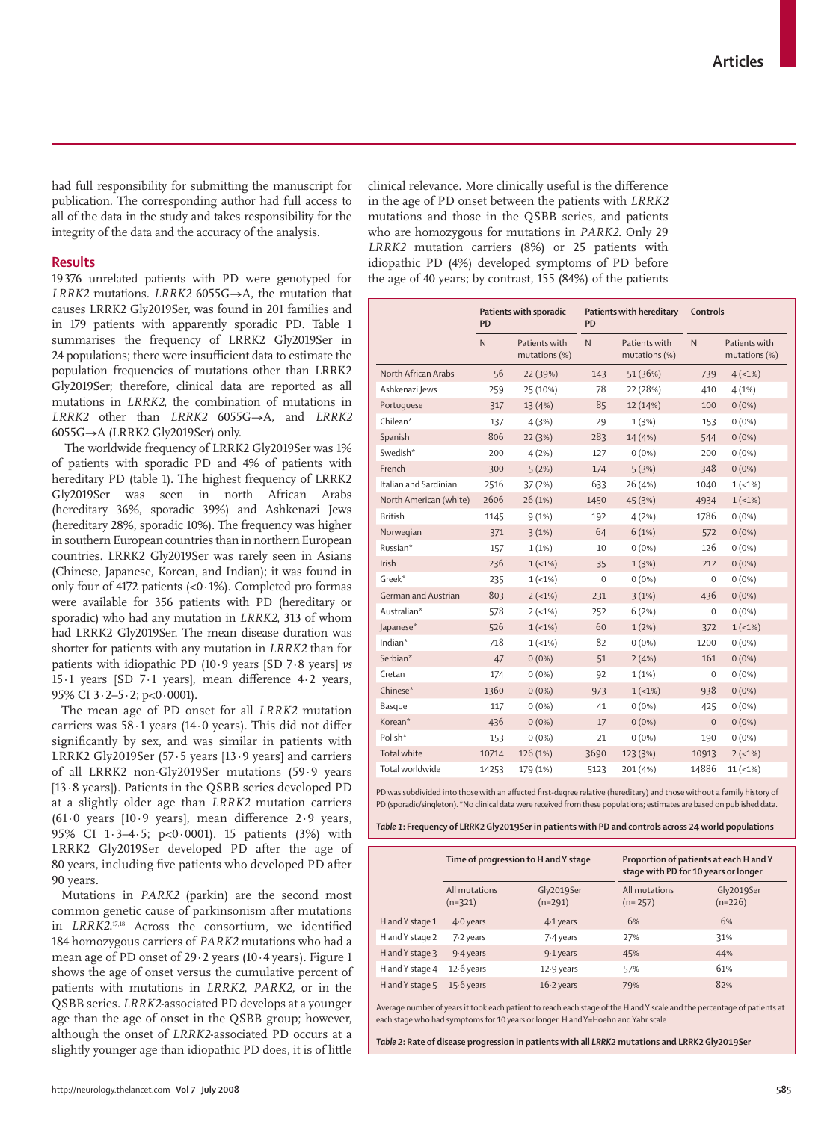had full responsibility for submitting the manuscript for publication. The corresponding author had full access to all of the data in the study and takes responsibility for the integrity of the data and the accuracy of the analysis.

## **Results**

19 376 unrelated patients with PD were genotyped for *LRRK2* mutations. *LRRK2* 6055G→A, the mutation that causes LRRK2 Gly2019Ser, was found in 201 families and in 179 patients with apparently sporadic PD. Table 1 summarises the frequency of LRRK2 Gly2019Ser in 24 populations; there were insufficient data to estimate the population frequencies of mutations other than LRRK2 Gly2019Ser; therefore, clinical data are reported as all mutations in *LRRK2*, the combination of mutations in *LRRK2* other than *LRRK2* 6055G→A, and *LRRK2* 6055G→A (LRRK2 Gly2019Ser) only.

 The worldwide frequency of LRRK2 Gly2019Ser was 1% of patients with sporadic PD and 4% of patients with hereditary PD (table 1). The highest frequency of LRRK2 Gly2019Ser was seen in north African Arabs (hereditary 36%, sporadic 39%) and Ashkenazi Jews (hereditary 28%, sporadic 10%). The frequency was higher in southern European countries than in northern European countries. LRRK2 Gly2019Ser was rarely seen in Asians (Chinese, Japanese, Korean, and Indian); it was found in only four of 4172 patients (<0·1%). Completed pro formas were available for 356 patients with PD (hereditary or sporadic) who had any mutation in *LRRK2*, 313 of whom had LRRK2 Gly2019Ser. The mean disease duration was shorter for patients with any mutation in *LRRK2* than for patients with idiopathic PD (10·9 years [SD 7·8 years] *vs* 15 $\cdot$ 1 years [SD 7 $\cdot$ 1 years], mean difference 4 $\cdot$ 2 years, 95% CI 3·2–5·2; p<0·0001).

The mean age of PD onset for all *LRRK2* mutation carriers was  $58.1$  years (14.0 years). This did not differ significantly by sex, and was similar in patients with LRRK2 Gly2019Ser (57·5 years [13·9 years] and carriers of all LRRK2 non-Gly2019Ser mutations (59·9 years [13·8 years]). Patients in the QSBB series developed PD at a slightly older age than *LRRK2* mutation carriers (61 $\cdot$ 0 years [10 $\cdot$ 9 years], mean difference 2 $\cdot$ 9 years, 95% CI 1·3–4·5; p<0·0001). 15 patients (3%) with LRRK2 Gly2019Ser developed PD after the age of 80 years, including five patients who developed PD after 90 years.

Mutations in *PARK2* (parkin) are the second most common genetic cause of parkinsonism after mutations in *LRRK2*.<sup>17,18</sup> Across the consortium, we identified 184 homozygous carriers of *PARK2* mutations who had a mean age of PD onset of 29·2 years (10·4 years). Figure 1 shows the age of onset versus the cumulative percent of patients with mutations in *LRRK2*, *PARK2*, or in the QSBB series. *LRRK2*-associated PD develops at a younger age than the age of onset in the QSBB group; however, although the onset of *LRRK2*-associated PD occurs at a slightly younger age than idiopathic PD does, it is of little

clinical relevance. More clinically useful is the difference in the age of PD onset between the patients with *LRRK2* mutations and those in the QSBB series, and patients who are homozygous for mutations in *PARK2*. Only 29 *LRRK2* mutation carriers (8%) or 25 patients with idiopathic PD (4%) developed symptoms of PD before the age of 40 years; by contrast, 155 (84%) of the patients

|                        | Patients with sporadic<br><b>PD</b> |                                | Patients with hereditary<br><b>PD</b> |                                | Controls     |                                |
|------------------------|-------------------------------------|--------------------------------|---------------------------------------|--------------------------------|--------------|--------------------------------|
|                        | N                                   | Patients with<br>mutations (%) | N                                     | Patients with<br>mutations (%) | N.           | Patients with<br>mutations (%) |
| North African Arabs    | 56                                  | 22 (39%)                       | 143                                   | 51 (36%)                       | 739          | 4(1%)                          |
| Ashkenazi Jews         | 259                                 | 25 (10%)                       | 78                                    | 22 (28%)                       | 410          | 4(1%)                          |
| Portuguese             | 317                                 | 13 (4%)                        | 85                                    | 12 (14%)                       | 100          | $0(0\%)$                       |
| Chilean*               | 137                                 | 4(3%)                          | 29                                    | 1(3%)                          | 153          | $0(0\%)$                       |
| Spanish                | 806                                 | 22 (3%)                        | 283                                   | 14 (4%)                        | 544          | $0(0\%)$                       |
| Swedish*               | 200                                 | 4(2%)                          | 127                                   | $0(0\%)$                       | 200          | $0(0\%)$                       |
| French                 | 300                                 | 5(2%)                          | 174                                   | 5(3%)                          | 348          | $0(0\%)$                       |
| Italian and Sardinian  | 2516                                | 37(2%)                         | 633                                   | 26 (4%)                        | 1040         | $1(-1%)$                       |
| North American (white) | 2606                                | 26(1%)                         | 1450                                  | 45 (3%)                        | 4934         | $1(-1%)$                       |
| <b>British</b>         | 1145                                | 9(1%)                          | 192                                   | 4(2%)                          | 1786         | $0(0\%)$                       |
| Norwegian              | 371                                 | 3(1%)                          | 64                                    | 6(1%)                          | 572          | $0(0\%)$                       |
| Russian*               | 157                                 | 1(1%)                          | 10                                    | $0(0\%)$                       | 126          | $0(0\%)$                       |
| Irish                  | 236                                 | $1(-1%)$                       | 35                                    | 1(3%)                          | 212          | $0(0\%)$                       |
| Greek*                 | 235                                 | $1(-1%)$                       | $\mathbf 0$                           | $0(0\%)$                       | 0            | $0(0\%)$                       |
| German and Austrian    | 803                                 | $2(-1%)$                       | 231                                   | 3(1%)                          | 436          | $0(0\%)$                       |
| Australian*            | 578                                 | $2(-1%)$                       | 252                                   | 6(2%)                          | 0            | $0(0\%)$                       |
| Japanese*              | 526                                 | $1(-1%)$                       | 60                                    | 1(2%)                          | 372          | $1(-1%)$                       |
| Indian*                | 718                                 | $1(-1%)$                       | 82                                    | $0(0\%)$                       | 1200         | $0(0\%)$                       |
| Serbian*               | 47                                  | $0(0\%)$                       | 51                                    | 2(4%)                          | 161          | $0(0\%)$                       |
| Cretan                 | 174                                 | $0(0\%)$                       | 92                                    | 1(1%)                          | 0            | $0(0\%)$                       |
| Chinese*               | 1360                                | $0(0\%)$                       | 973                                   | $1(-1%)$                       | 938          | $0(0\%)$                       |
| Basque                 | 117                                 | $0(0\%)$                       | 41                                    | $0(0\%)$                       | 425          | $0(0\%)$                       |
| Korean*                | 436                                 | $0(0\%)$                       | 17                                    | $0(0\%)$                       | $\mathbf{0}$ | $0(0\%)$                       |
| Polish*                | 153                                 | $0(0\%)$                       | 21                                    | $0(0\%)$                       | 190          | $0(0\%)$                       |
| <b>Total white</b>     | 10714                               | 126 (1%)                       | 3690                                  | 123 (3%)                       | 10913        | $2(-1%)$                       |
| Total worldwide        | 14253                               | 179 (1%)                       | 5123                                  | 201 (4%)                       | 14886        | $11 (-1%)$                     |

PD was subdivided into those with an affected first-degree relative (hereditary) and those without a family history of PD (sporadic/singleton). \*No clinical data were received from these populations; estimates are based on published data.

*Table 1***: Frequency of LRRK2 Gly2019Ser in patients with PD and controls across 24 world populations** 

|                 | Time of progression to H and Y stage |                         |                            | Proportion of patients at each H and Y<br>stage with PD for 10 years or longer |  |  |
|-----------------|--------------------------------------|-------------------------|----------------------------|--------------------------------------------------------------------------------|--|--|
|                 | All mutations<br>$(n=321)$           | Gly2019Ser<br>$(n=291)$ | All mutations<br>$(n=257)$ | Gly2019Ser<br>$(n=226)$                                                        |  |  |
| H and Y stage 1 | $4.0$ years                          | 4-1 years               | 6%                         | 6%                                                                             |  |  |
| H and Y stage 2 | 7.2 years                            | 7-4 years               | 27%                        | 31%                                                                            |  |  |
| H and Y stage 3 | $9.4$ years                          | $9.1$ years             | 45%                        | 44%                                                                            |  |  |
| H and Y stage 4 | $12.6$ years                         | $12.9$ years            | 57%                        | 61%                                                                            |  |  |
| H and Y stage 5 | $15.6$ years                         | $16.2$ years            | 79%                        | 82%                                                                            |  |  |

Average number of years it took each patient to reach each stage of the H and Y scale and the percentage of patients at each stage who had symptoms for 10 years or longer. H and Y=Hoehn and Yahr scale

*Table 2***: Rate of disease progression in patients with all** *LRRK2* **mutations and LRRK2 Gly2019Ser**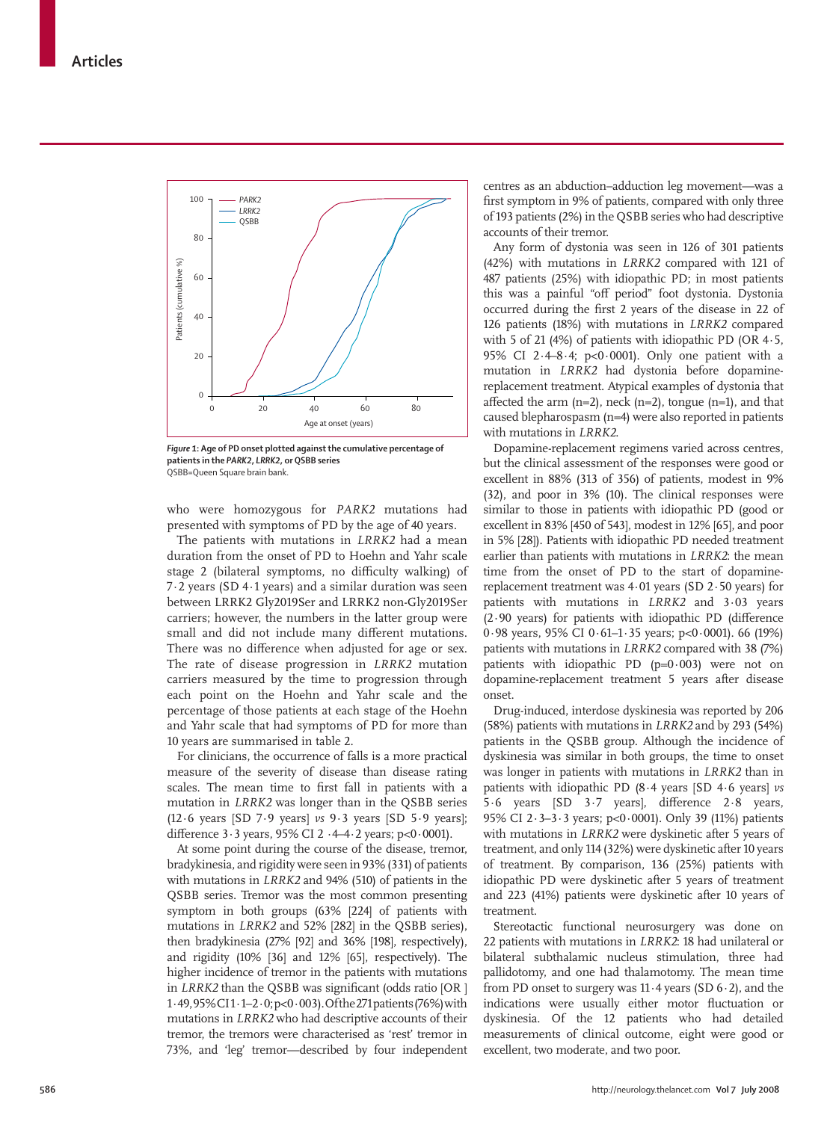

*Figure 1***: Age of PD onset plotted against the cumulative percentage of patients in the** *PARK2***,** *LRRK2***, or QSBB series** QSBB=Queen Square brain bank.

who were homozygous for *PARK2* mutations had presented with symptoms of PD by the age of 40 years.

The patients with mutations in *LRRK2* had a mean duration from the onset of PD to Hoehn and Yahr scale stage 2 (bilateral symptoms, no difficulty walking) of 7·2 years (SD 4·1 years) and a similar duration was seen between LRRK2 Gly2019Ser and LRRK2 non-Gly2019Ser carriers; however, the numbers in the latter group were small and did not include many different mutations. There was no difference when adjusted for age or sex. The rate of disease progression in *LRRK2* mutation carriers measured by the time to progression through each point on the Hoehn and Yahr scale and the percentage of those patients at each stage of the Hoehn and Yahr scale that had symptoms of PD for more than 10 years are summarised in table 2.

For clinicians, the occurrence of falls is a more practical measure of the severity of disease than disease rating scales. The mean time to first fall in patients with a mutation in *LRRK2* was longer than in the QSBB series (12·6 years [SD 7·9 years] *vs* 9·3 years [SD 5·9 years]; difference  $3.3$  years,  $95\%$  CI  $2.4-4.2$  years;  $p<0.0001$ ).

At some point during the course of the disease, tremor, bradykinesia, and rigidity were seen in 93% (331) of patients with mutations in *LRRK2* and 94% (510) of patients in the QSBB series. Tremor was the most common presenting symptom in both groups (63% [224] of patients with mutations in *LRRK2* and 52% [282] in the QSBB series), then bradykinesia (27% [92] and 36% [198], respectively), and rigidity (10% [36] and 12% [65], respectively). The higher incidence of tremor in the patients with mutations in *LRRK2* than the QSBB was significant (odds ratio [OR ] 1·49, 95% CI 1·1–2·0; p<0·003). Of the 271 patients (76%) with mutations in *LRRK2* who had descriptive accounts of their tremor, the tremors were characterised as 'rest' tremor in 73%, and 'leg' tremor—described by four independent centres as an abduction–adduction leg movement—was a first symptom in 9% of patients, compared with only three of 193 patients (2%) in the QSBB series who had descriptive accounts of their tremor.

Any form of dystonia was seen in 126 of 301 patients (42%) with mutations in *LRRK2* compared with 121 of 487 patients (25%) with idiopathic PD; in most patients this was a painful "off period" foot dystonia. Dystonia occurred during the first 2 years of the disease in 22 of 126 patients (18%) with mutations in *LRRK2* compared with 5 of 21 (4%) of patients with idiopathic PD (OR 4·5, 95% CI 2·4–8·4; p<0·0001). Only one patient with a mutation in *LRRK2* had dystonia before dopaminereplacement treatment. Atypical examples of dystonia that affected the arm  $(n=2)$ , neck  $(n=2)$ , tongue  $(n=1)$ , and that caused blepharospasm (n=4) were also reported in patients with mutations in *LRRK2*.

Dopamine-replacement regimens varied across centres, but the clinical assessment of the responses were good or excellent in 88% (313 of 356) of patients, modest in 9% (32), and poor in 3% (10). The clinical responses were similar to those in patients with idiopathic PD (good or excellent in 83% [450 of 543], modest in 12% [65], and poor in 5% [28]). Patients with idiopathic PD needed treatment earlier than patients with mutations in *LRRK2*: the mean time from the onset of PD to the start of dopaminereplacement treatment was 4·01 years (SD 2·50 years) for patients with mutations in *LRRK2* and 3·03 years  $(2.90 \text{ years})$  for patients with idiopathic PD (difference 0·98 years, 95% CI 0·61–1·35 years; p<0·0001). 66 (19%) patients with mutations in *LRRK2* compared with 38 (7%) patients with idiopathic PD  $(p=0.003)$  were not on dopamine-replacement treatment 5 years after disease onset.

Drug-induced, interdose dyskinesia was reported by 206 (58%) patients with mutations in *LRRK2* and by 293 (54%) patients in the QSBB group. Although the incidence of dyskinesia was similar in both groups, the time to onset was longer in patients with mutations in *LRRK2* than in patients with idiopathic PD (8·4 years [SD 4·6 years] *vs*  $5.6$  years  $[SD 3.7$  years], difference  $2.8$  years, 95% CI 2·3–3·3 years; p<0·0001). Only 39 (11%) patients with mutations in *LRRK2* were dyskinetic after 5 years of treatment, and only 114 (32%) were dyskinetic after 10 years of treatment. By comparison, 136 (25%) patients with idiopathic PD were dyskinetic after 5 years of treatment and 223 (41%) patients were dyskinetic after 10 years of treatment.

Stereotactic functional neurosurgery was done on 22 patients with mutations in *LRRK2*: 18 had unilateral or bilateral subthalamic nucleus stimulation, three had pallidotomy, and one had thalamotomy. The mean time from PD onset to surgery was 11·4 years (SD 6·2), and the indications were usually either motor fluctuation or dyskinesia. Of the 12 patients who had detailed measurements of clinical outcome, eight were good or excellent, two moderate, and two poor.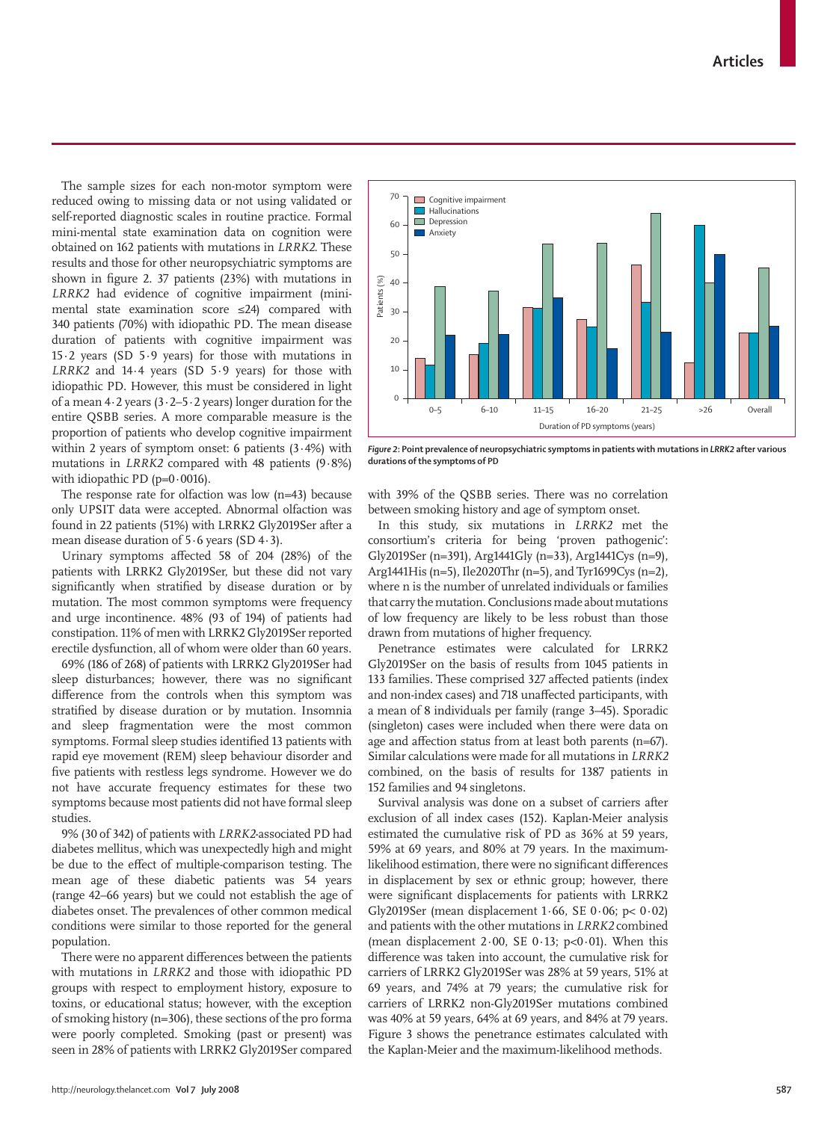The sample sizes for each non-motor symptom were reduced owing to missing data or not using validated or self-reported diagnostic scales in routine practice. Formal mini-mental state examination data on cognition were obtained on 162 patients with mutations in *LRRK2*. These results and those for other neuropsychiatric symptoms are shown in figure 2. 37 patients  $(23%)$  with mutations in *LRRK2* had evidence of cognitive impairment (minimental state examination score ≤24) compared with 340 patients (70%) with idiopathic PD. The mean disease duration of patients with cognitive impairment was 15·2 years (SD 5·9 years) for those with mutations in *LRRK2* and 14·4 years (SD 5·9 years) for those with idiopathic PD. However, this must be considered in light of a mean  $4.2$  years  $(3.2 - 5.2$  years) longer duration for the entire QSBB series. A more comparable measure is the proportion of patients who develop cognitive impairment within 2 years of symptom onset: 6 patients  $(3.4%)$  with mutations in *LRRK2* compared with 48 patients (9·8%) with idiopathic PD ( $p=0.0016$ ).

The response rate for olfaction was low (n=43) because only UPSIT data were accepted. Abnormal olfaction was found in 22 patients (51%) with LRRK2 Gly2019Ser after a mean disease duration of 5·6 years (SD 4·3).

Urinary symptoms affected 58 of 204 (28%) of the patients with LRRK2 Gly2019Ser, but these did not vary significantly when stratified by disease duration or by mutation. The most common symptoms were frequency and urge incontinence. 48% (93 of 194) of patients had constipation. 11% of men with LRRK2 Gly2019Ser reported erectile dysfunction, all of whom were older than 60 years.

69% (186 of 268) of patients with LRRK2 Gly2019Ser had sleep disturbances; however, there was no significant difference from the controls when this symptom was stratified by disease duration or by mutation. Insomnia and sleep fragmentation were the most common symptoms. Formal sleep studies identified 13 patients with rapid eye movement (REM) sleep behaviour disorder and five patients with restless legs syndrome. However we do not have accurate frequency estimates for these two symptoms because most patients did not have formal sleep studies.

9% (30 of 342) of patients with *LRRK2*-associated PD had diabetes mellitus, which was unexpectedly high and might be due to the effect of multiple-comparison testing. The mean age of these diabetic patients was 54 years (range 42–66 years) but we could not establish the age of diabetes onset. The prevalences of other common medical conditions were similar to those reported for the general population.

There were no apparent differences between the patients with mutations in *LRRK2* and those with idiopathic PD groups with respect to employment history, exposure to toxins, or educational status; however, with the exception of smoking history (n=306), these sections of the pro forma were poorly completed. Smoking (past or present) was seen in 28% of patients with LRRK2 Gly2019Ser compared



*Figure 2*: Point prevalence of neuropsychiatric symptoms in patients with mutations in *LRRK2* after various **durations of the symptoms of PD**

with 39% of the QSBB series. There was no correlation between smoking history and age of symptom onset.

In this study, six mutations in *LRRK2* met the consortium's criteria for being 'proven pathogenic': Gly2019Ser (n=391), Arg1441Gly (n=33), Arg1441Cys (n=9), Arg1441His (n=5), Ile2020Thr (n=5), and Tyr1699Cys (n=2), where n is the number of unrelated individuals or families that carry the mutation. Conclusions made about mutations of low frequency are likely to be less robust than those drawn from mutations of higher frequency.

Penetrance estimates were calculated for LRRK2 Gly2019Ser on the basis of results from 1045 patients in 133 families. These comprised 327 affected patients (index and non-index cases) and 718 unaffected participants, with a mean of 8 individuals per family (range 3–45). Sporadic (singleton) cases were included when there were data on age and affection status from at least both parents ( $n=67$ ). Similar calculations were made for all mutations in *LRRK2*  combined, on the basis of results for 1387 patients in 152 families and 94 singletons.

Survival analysis was done on a subset of carriers after exclusion of all index cases (152). Kaplan-Meier analysis estimated the cumulative risk of PD as 36% at 59 years, 59% at 69 years, and 80% at 79 years. In the maximumlikelihood estimation, there were no significant differences in displacement by sex or ethnic group; however, there were significant displacements for patients with LRRK2 Gly2019Ser (mean displacement 1·66, SE 0·06; p< 0·02) and patients with the other mutations in *LRRK2* combined (mean displacement  $2.00$ , SE 0.13; p<0.01). When this difference was taken into account, the cumulative risk for carriers of LRRK2 Gly2019Ser was 28% at 59 years, 51% at 69 years, and 74% at 79 years; the cumulative risk for carriers of LRRK2 non-Gly2019Ser mutations combined was 40% at 59 years, 64% at 69 years, and 84% at 79 years. Figure 3 shows the penetrance estimates calculated with the Kaplan-Meier and the maximum-likelihood methods.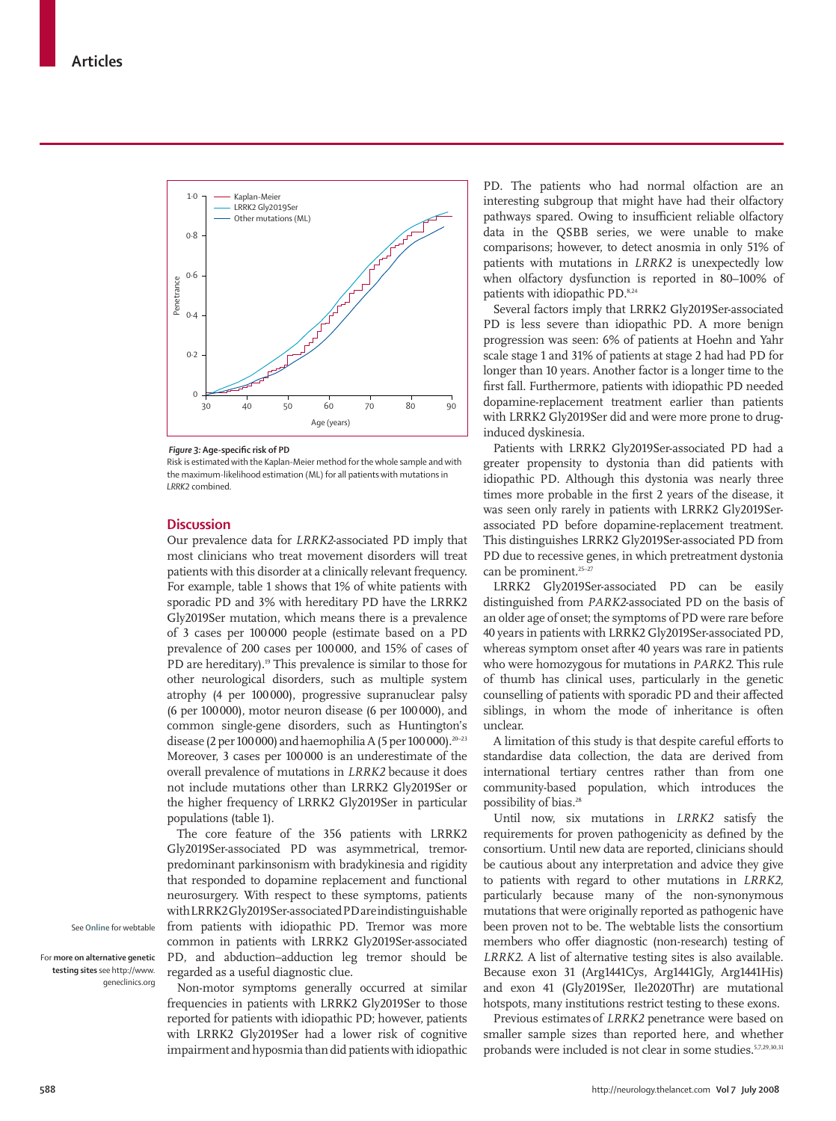

*Figure 3:* **Age-specific risk of PD** 

Risk is estimated with the Kaplan-Meier method for the whole sample and with the maximum-likelihood estimation (ML) for all patients with mutations in *LRRK2* combined.

## **Discussion**

Our prevalence data for *LRRK2*-associated PD imply that most clinicians who treat movement disorders will treat patients with this disorder at a clinically relevant frequency. For example, table 1 shows that 1% of white patients with sporadic PD and 3% with hereditary PD have the LRRK2 Gly2019Ser mutation, which means there is a prevalence of 3 cases per 100 000 people (estimate based on a PD prevalence of 200 cases per 100 000, and 15% of cases of PD are hereditary).<sup>19</sup> This prevalence is similar to those for other neurological disorders, such as multiple system atrophy (4 per 100 000), progressive supranuclear palsy (6 per 100 000), motor neuron disease (6 per 100 000), and common single-gene disorders, such as Huntington's disease (2 per 100 000) and haemophilia A (5 per 100 000).<sup>20-23</sup> Moreover, 3 cases per 100 000 is an underestimate of the overall prevalence of mutations in *LRRK2* because it does not include mutations other than LRRK2 Gly2019Ser or the higher frequency of LRRK2 Gly2019Ser in particular populations (table 1).

The core feature of the 356 patients with LRRK2 Gly2019Ser-associated PD was asymmetrical, tremorpredominant parkinsonism with bradykinesia and rigidity that responded to dopamine replacement and functional neurosurgery. With respect to these symptoms, patients with LRRK2 Gly2019Ser-associated PDare indistinguishable from patients with idiopathic PD. Tremor was more common in patients with LRRK2 Gly2019Ser-associated PD, and abduction–adduction leg tremor should be regarded as a useful diagnostic clue.

Non-motor symptoms generally occurred at similar frequencies in patients with LRRK2 Gly2019Ser to those reported for patients with idiopathic PD; however, patients with LRRK2 Gly2019Ser had a lower risk of cognitive impairment and hyposmia than did patients with idiopathic

PD. The patients who had normal olfaction are an interesting subgroup that might have had their olfactory pathways spared. Owing to insufficient reliable olfactory data in the QSBB series, we were unable to make comparisons; however, to detect anosmia in only 51% of patients with mutations in *LRRK2* is unexpectedly low when olfactory dysfunction is reported in 80–100% of patients with idiopathic PD.<sup>8,24</sup>

Several factors imply that LRRK2 Gly2019Ser-associated PD is less severe than idiopathic PD. A more benign progression was seen: 6% of patients at Hoehn and Yahr scale stage 1 and 31% of patients at stage 2 had had PD for longer than 10 years. Another factor is a longer time to the first fall. Furthermore, patients with idiopathic PD needed dopamine-replacement treatment earlier than patients with LRRK2 Gly2019Ser did and were more prone to druginduced dyskinesia.

Patients with LRRK2 Gly2019Ser-associated PD had a greater propensity to dystonia than did patients with idiopathic PD. Although this dystonia was nearly three times more probable in the first 2 years of the disease, it was seen only rarely in patients with LRRK2 Gly2019Serassociated PD before dopamine-replacement treatment. This distinguishes LRRK2 Gly2019Ser-associated PD from PD due to recessive genes, in which pretreatment dystonia can be prominent.<sup>25-27</sup>

LRRK2 Gly2019Ser-associated PD can be easily distinguished from *PARK2*-associated PD on the basis of an older age of onset; the symptoms of PD were rare before 40 years in patients with LRRK2 Gly2019Ser-associated PD, whereas symptom onset after 40 years was rare in patients who were homozygous for mutations in *PARK2*. This rule of thumb has clinical uses, particularly in the genetic counselling of patients with sporadic PD and their affected siblings, in whom the mode of inheritance is often unclear.

A limitation of this study is that despite careful efforts to standardise data collection, the data are derived from international tertiary centres rather than from one community-based population, which introduces the possibility of bias.<sup>28</sup>

Until now, six mutations in *LRRK2* satisfy the requirements for proven pathogenicity as defined by the consortium. Until new data are reported, clinicians should be cautious about any interpretation and advice they give to patients with regard to other mutations in *LRRK2*, particularly because many of the non-synonymous mutations that were originally reported as pathogenic have been proven not to be. The webtable lists the consortium members who offer diagnostic (non-research) testing of *LRRK2.* A list of alternative testing sites is also available. Because exon 31 (Arg1441Cys, Arg1441Gly, Arg1441His) and exon 41 (Gly2019Ser, Ile2020Thr) are mutational hotspots, many institutions restrict testing to these exons.

Previous estimates of *LRRK2* penetrance were based on smaller sample sizes than reported here, and whether probands were included is not clear in some studies.<sup>5,7,29,30,31</sup>

See **Online** for webtable

For **more on alternative genetic testing sites** see http://www. geneclinics.org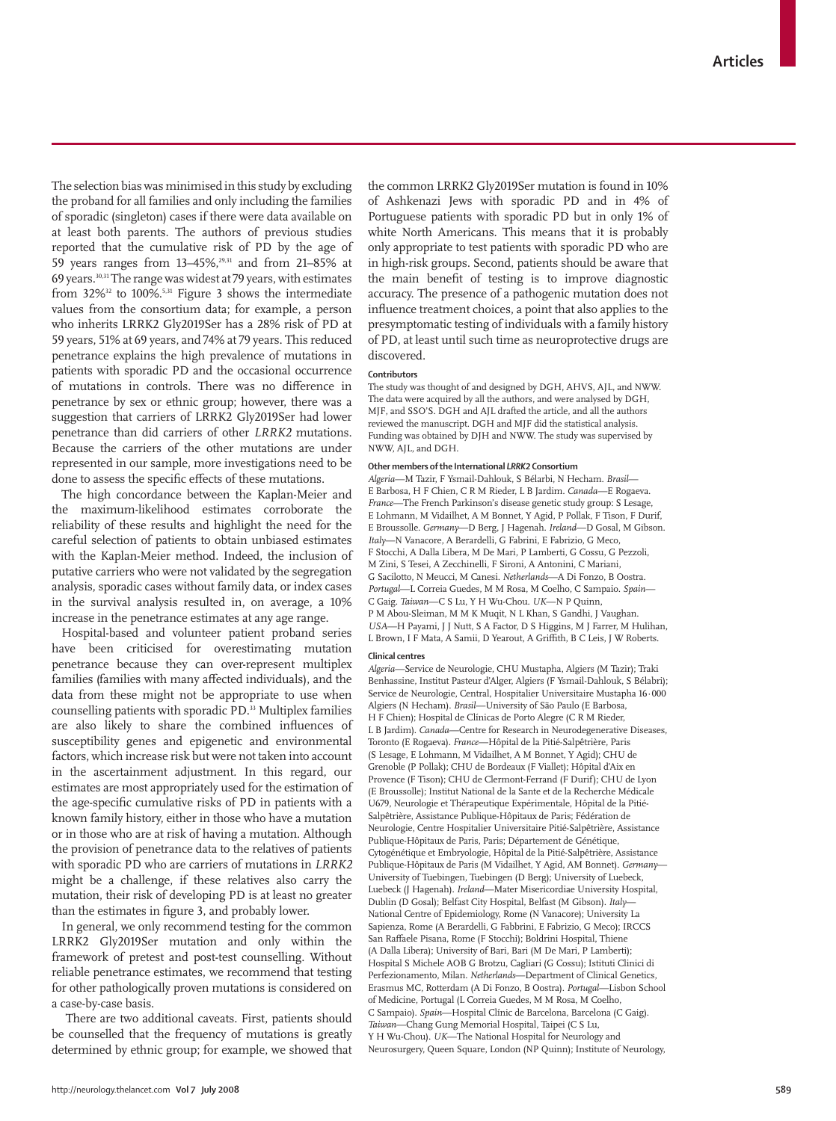The selection bias was minimised in this study by excluding the proband for all families and only including the families of sporadic (singleton) cases if there were data available on at least both parents. The authors of previous studies reported that the cumulative risk of PD by the age of 59 years ranges from 13–45%,29,31 and from 21–85% at 69 years.30,31 The range was widest at 79 years, with estimates from  $32\%$ <sup>32</sup> to  $100\%$ .<sup>5,31</sup> Figure 3 shows the intermediate values from the consortium data; for example, a person who inherits LRRK2 Gly2019Ser has a 28% risk of PD at 59 years, 51% at 69 years, and 74% at 79 years. This reduced penetrance explains the high prevalence of mutations in patients with sporadic PD and the occasional occurrence of mutations in controls. There was no difference in penetrance by sex or ethnic group; however, there was a suggestion that carriers of LRRK2 Gly2019Ser had lower penetrance than did carriers of other *LRRK2* mutations. Because the carriers of the other mutations are under represented in our sample, more investigations need to be done to assess the specific effects of these mutations.

The high concordance between the Kaplan-Meier and the maximum-likelihood estimates corroborate the reliability of these results and highlight the need for the careful selection of patients to obtain unbiased estimates with the Kaplan-Meier method. Indeed, the inclusion of putative carriers who were not validated by the segregation analysis, sporadic cases without family data, or index cases in the survival analysis resulted in, on average, a 10% increase in the penetrance estimates at any age range.

Hospital-based and volunteer patient proband series have been criticised for overestimating mutation penetrance because they can over-represent multiplex families (families with many affected individuals), and the data from these might not be appropriate to use when counselling patients with sporadic PD.33 Multiplex families are also likely to share the combined influences of susceptibility genes and epigenetic and environmental factors, which increase risk but were not taken into account in the ascertainment adjustment. In this regard, our estimates are most appropriately used for the estimation of the age-specific cumulative risks of PD in patients with a known family history, either in those who have a mutation or in those who are at risk of having a mutation. Although the provision of penetrance data to the relatives of patients with sporadic PD who are carriers of mutations in *LRRK2* might be a challenge, if these relatives also carry the mutation, their risk of developing PD is at least no greater than the estimates in figure 3, and probably lower.

In general, we only recommend testing for the common LRRK2 Gly2019Ser mutation and only within the framework of pretest and post-test counselling. Without reliable penetrance estimates, we recommend that testing for other pathologically proven mutations is considered on a case-by-case basis.

 There are two additional caveats. First, patients should be counselled that the frequency of mutations is greatly determined by ethnic group; for example, we showed that the common LRRK2 Gly2019Ser mutation is found in 10% of Ashkenazi Jews with sporadic PD and in 4% of Portuguese patients with sporadic PD but in only 1% of white North Americans. This means that it is probably only appropriate to test patients with sporadic PD who are in high-risk groups. Second, patients should be aware that the main benefit of testing is to improve diagnostic accuracy. The presence of a pathogenic mutation does not influence treatment choices, a point that also applies to the presymptomatic testing of individuals with a family history of PD, at least until such time as neuroprotective drugs are discovered.

### **Contributors**

The study was thought of and designed by DGH, AHVS, AJL, and NWW. The data were acquired by all the authors, and were analysed by DGH, MJF, and SSO'S. DGH and AJL drafted the article, and all the authors reviewed the manuscript. DGH and MJF did the statistical analysis. Funding was obtained by DJH and NWW. The study was supervised by NWW, AJL, and DGH.

# **Other members of the International** *LRRK2* **Consortium**

*Algeria*—M Tazir, F Ysmail-Dahlouk, S Bélarbi, N Hecham. *Brasil*— E Barbosa, H F Chien, C R M Rieder, L B Jardim*. Canada*—E Rogaeva. *France*—The French Parkinson's disease genetic study group: S Lesage, E Lohmann, M Vidailhet, A M Bonnet, Y Agid, P Pollak, F Tison, F Durif, E Broussolle. *Germany*—D Berg, J Hagenah. *Ireland*—D Gosal, M Gibson. *Italy*—N Vanacore, A Berardelli, G Fabrini, E Fabrizio, G Meco, F Stocchi, A Dalla Libera, M De Mari, P Lamberti, G Cossu, G Pezzoli, M Zini, S Tesei, A Zecchinelli, F Sironi, A Antonini, C Mariani, G Sacilotto, N Meucci, M Canesi. *Netherlands*—A Di Fonzo, B Oostra. *Portugal*—L Correia Guedes, M M Rosa, M Coelho, C Sampaio. *Spain*— C Gaig. *Taiwan*—C S Lu, Y H Wu-Chou. *UK*—N P Quinn, P M Abou-Sleiman, M M K Muqit, N L Khan, S Gandhi, J Vaughan. *USA*—H Payami, J J Nutt, S A Factor, D S Higgins, M J Farrer, M Hulihan, L Brown, I F Mata, A Samii, D Yearout, A Griffith, B C Leis, J W Roberts.

### **Clinical centres**

*Algeria*—Service de Neurologie, CHU Mustapha, Algiers (M Tazir); Traki Benhassine, Institut Pasteur d'Alger, Algiers (F Ysmail-Dahlouk, S Bélabri); Service de Neurologie, Central, Hospitalier Universitaire Mustapha 16·000 Algiers (N Hecham). *Brasil*—University of São Paulo (E Barbosa, H F Chien); Hospital de Clínicas de Porto Alegre (C R M Rieder, L B Jardim). *Canada*—Centre for Research in Neurodegenerative Diseases, Toronto (E Rogaeva). *France*—Hôpital de la Pitié-Salpêtrière, Paris (S Lesage, E Lohmann, M Vidailhet, A M Bonnet, Y Agid); CHU de Grenoble (P Pollak); CHU de Bordeaux (F Viallet); Hôpital d'Aix en Provence (F Tison); CHU de Clermont-Ferrand (F Durif); CHU de Lyon (E Broussolle); Institut National de la Sante et de la Recherche Médicale U679, Neurologie et Thérapeutique Expérimentale, Hôpital de la Pitié-Salpêtrière, Assistance Publique-Hôpitaux de Paris; Fédération de Neurologie, Centre Hospitalier Universitaire Pitié-Salpêtrière, Assistance Publique-Hôpitaux de Paris, Paris; Département de Génétique, Cytogénétique et Embryologie, Hôpital de la Pitié-Salpêtrière, Assistance Publique-Hôpitaux de Paris (M Vidailhet, Y Agid, AM Bonnet). *Germany*— University of Tuebingen, Tuebingen (D Berg); University of Luebeck, Luebeck (J Hagenah). *Ireland*—Mater Misericordiae University Hospital, Dublin (D Gosal); Belfast City Hospital, Belfast (M Gibson). *Italy*— National Centre of Epidemiology, Rome (N Vanacore); University La Sapienza, Rome (A Berardelli, G Fabbrini, E Fabrizio, G Meco); IRCCS San Raffaele Pisana, Rome (F Stocchi); Boldrini Hospital, Thiene (A Dalla Libera); University of Bari, Bari (M De Mari, P Lamberti); Hospital S Michele AOB G Brotzu, Cagliari (G Cossu); Istituti Clinici di Perfezionamento, Milan. *Netherlands*—Department of Clinical Genetics, Erasmus MC, Rotterdam (A Di Fonzo, B Oostra). *Portugal*—Lisbon School of Medicine, Portugal (L Correia Guedes, M M Rosa, M Coelho, C Sampaio). *Spain*—Hospital Clínic de Barcelona, Barcelona (C Gaig). *Taiwan*—Chang Gung Memorial Hospital, Taipei (C S Lu, Y H Wu-Chou). *UK*—The National Hospital for Neurology and Neurosurgery, Queen Square, London (NP Quinn); Institute of Neurology,